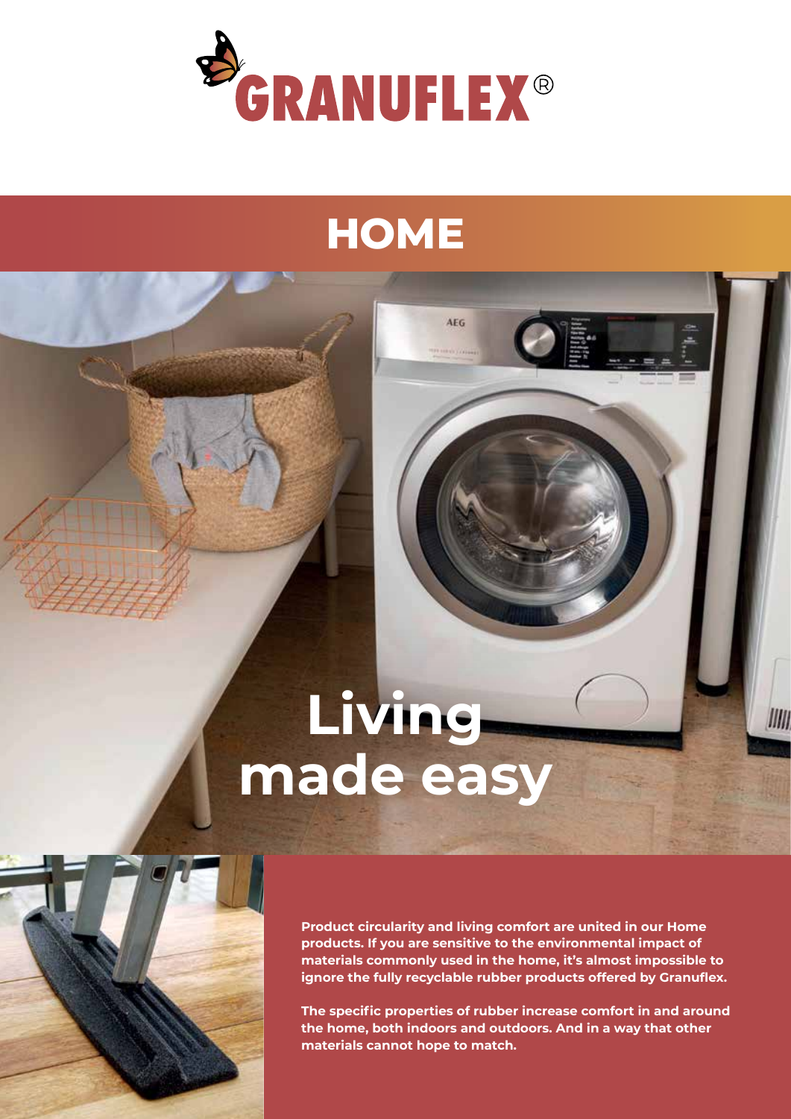

# **HOME**

**AFC** 

# **Living made easy**



**Product circularity and living comfort are united in our Home products. If you are sensitive to the environmental impact of materials commonly used in the home, it's almost impossible to ignore the fully recyclable rubber products offered by Granuflex.**  IIIII

**The specific properties of rubber increase comfort in and around the home, both indoors and outdoors. And in a way that other materials cannot hope to match.**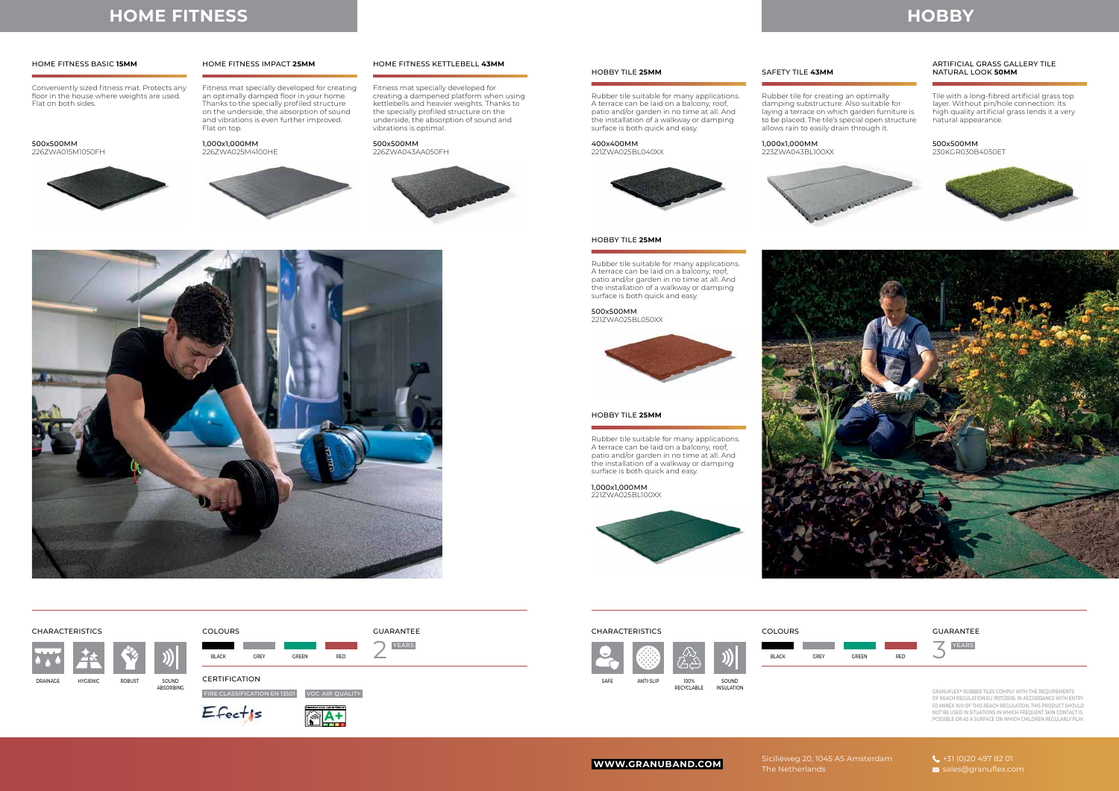Siciliëweg 20, 1045 AS Amsterdam The Netherlands

# **HOBBY**

Rubber tile suitable for many applications. A terrace can be laid on a balcony, roof, patio and/or garden in no time at all. And the installation of a walkway or damping surface is both quick and easy.

Rubber tile for creating an optimally

Rubber tile suitable for many applications. A terrace can be laid on a balcony, roof, patio and/or garden in no time at all. And the installation of a walkway or damping surface is both quick and easy.

damping substructure. Also suitable for laying a terrace on which garden furniture is to be placed. The tile's special open structure allows rain to easily drain through it.

Tile with a long-fibred artificial grass top layer. Without pin/hole connection. Its high quality artificial grass lends it a very natural appearance.

Rubber tile suitable for many applications. A terrace can be laid on a balcony, roof, patio and/or garden in no time at all. And the installation of a walkway or damping surface is both quick and easy.

400x400MM 221ZWA025BL040XX



1,000x1,000MM 223ZWA043BL100XX



### 500x500MM

230KGR030B4050ET









500x500MM 221ZWA025BL050XX



1,000x1,000MM 221ZWA025BL100XX



HOBBY TILE **25MM** SAFETY TILE **43MM**

### ARTIFICIAL GRASS GALLERY TILE NATURAL LOOK **50MM**

### HOBBY TILE **25MM**

### YEARS **YEARS AND RELEASED AT LOCK CONTINUES.** THE CONTINUES IN THE CONTINUES OF THE CONTINUES OF THE CONTINUES OF THE CONTINUES OF THE CONTINUES OF THE CONTINUES OF THE CONTINUES OF THE CONTINUES OF THE CONTINUES OF THE CO SAFE ANTI-SLIP 100% RECYCLABLE SOUND INSULATION

### HOBBY TILE **25MM**



GRANUFLEX**®** RUBBER TILES COMPLY WITH THE REQUIREMENTS OF REACH REGULATION EU 1907/2006. IN ACCORDANCE WITH ENTRY 50 ANNEX XVII OF THIS REACH REGULATION, THIS PRODUCT SHOULD NOT BE USED IN SITUATIONS IN WHICH FREQUENT SKIN CONTACT IS POSSIBLE OR AS A SURFACE ON WHICH CHILDREN REGULARLY PLAY.

**WWW.GRANUBAND.COM**

## **HOME FITNESS**

Conveniently sized fitness mat. Protects any floor in the house where weights are used. Flat on both sides.

Fitness mat specially developed for creating an optimally damped floor in your home. Thanks to the specially profiled structure on the underside, the absorption of sound and vibrations is even further improved. Flat on top.

Fitness mat specially developed for creating a dampened platform when using kettlebells and heavier weights. Thanks to the specially profiled structure on the underside, the absorption of sound and vibrations is optimal.

500x500MM 226ZWA015M1050FH



1,000x1,000MM 226ZWA025M4100HE



500x500MM 226ZWA043AA050FH





### HOME FITNESS BASIC **15MM** HOME FITNESS IMPACT **25MM** HOME FITNESS KETTLEBELL **43MM**